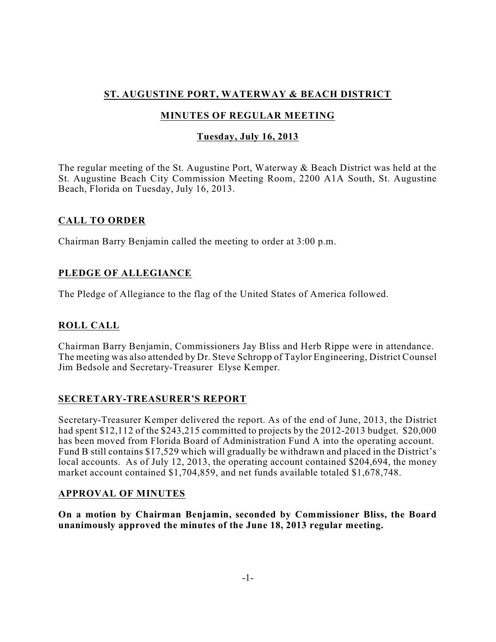# **ST. AUGUSTINE PORT, WATERWAY & BEACH DISTRICT**

# **MINUTES OF REGULAR MEETING**

### **Tuesday, July 16, 2013**

The regular meeting of the St. Augustine Port, Waterway & Beach District was held at the St. Augustine Beach City Commission Meeting Room, 2200 A1A South, St. Augustine Beach, Florida on Tuesday, July 16, 2013.

### **CALL TO ORDER**

Chairman Barry Benjamin called the meeting to order at 3:00 p.m.

## **PLEDGE OF ALLEGIANCE**

The Pledge of Allegiance to the flag of the United States of America followed.

# **ROLL CALL**

Chairman Barry Benjamin, Commissioners Jay Bliss and Herb Rippe were in attendance. The meeting was also attended by Dr. Steve Schropp of Taylor Engineering, District Counsel Jim Bedsole and Secretary-Treasurer Elyse Kemper.

### **SECRETARY-TREASURER'S REPORT**

Secretary-Treasurer Kemper delivered the report. As of the end of June, 2013, the District had spent \$12,112 of the \$243,215 committed to projects by the 2012-2013 budget. \$20,000 has been moved from Florida Board of Administration Fund A into the operating account. Fund B still contains \$17,529 which will gradually be withdrawn and placed in the District's local accounts. As of July 12, 2013, the operating account contained \$204,694, the money market account contained \$1,704,859, and net funds available totaled \$1,678,748.

### **APPROVAL OF MINUTES**

**On a motion by Chairman Benjamin, seconded by Commissioner Bliss, the Board unanimously approved the minutes of the June 18, 2013 regular meeting.**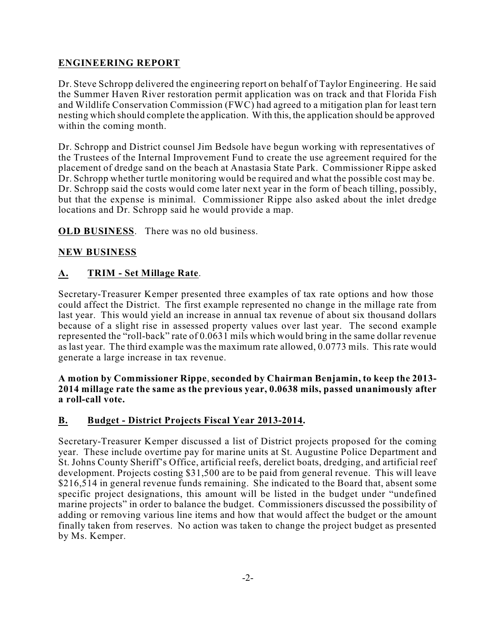# **ENGINEERING REPORT**

Dr. Steve Schropp delivered the engineering report on behalf of Taylor Engineering. He said the Summer Haven River restoration permit application was on track and that Florida Fish and Wildlife Conservation Commission (FWC) had agreed to a mitigation plan for least tern nesting which should complete the application. With this, the application should be approved within the coming month.

Dr. Schropp and District counsel Jim Bedsole have begun working with representatives of the Trustees of the Internal Improvement Fund to create the use agreement required for the placement of dredge sand on the beach at Anastasia State Park. Commissioner Rippe asked Dr. Schropp whether turtle monitoring would be required and what the possible cost may be. Dr. Schropp said the costs would come later next year in the form of beach tilling, possibly, but that the expense is minimal. Commissioner Rippe also asked about the inlet dredge locations and Dr. Schropp said he would provide a map.

**OLD BUSINESS**. There was no old business.

### **NEW BUSINESS**

## **A. TRIM - Set Millage Rate**.

Secretary-Treasurer Kemper presented three examples of tax rate options and how those could affect the District. The first example represented no change in the millage rate from last year. This would yield an increase in annual tax revenue of about six thousand dollars because of a slight rise in assessed property values over last year. The second example represented the "roll-back" rate of 0.0631 mils which would bring in the same dollar revenue as last year. The third example was the maximum rate allowed, 0.0773 mils. This rate would generate a large increase in tax revenue.

**A motion by Commissioner Rippe**, **seconded by Chairman Benjamin, to keep the 2013- 2014 millage rate the same as the previous year, 0.0638 mils, passed unanimously after a roll-call vote.**

### **B. Budget - District Projects Fiscal Year 2013-2014.**

Secretary-Treasurer Kemper discussed a list of District projects proposed for the coming year. These include overtime pay for marine units at St. Augustine Police Department and St. Johns County Sheriff's Office, artificial reefs, derelict boats, dredging, and artificial reef development. Projects costing \$31,500 are to be paid from general revenue. This will leave \$216,514 in general revenue funds remaining. She indicated to the Board that, absent some specific project designations, this amount will be listed in the budget under "undefined marine projects" in order to balance the budget. Commissioners discussed the possibility of adding or removing various line items and how that would affect the budget or the amount finally taken from reserves. No action was taken to change the project budget as presented by Ms. Kemper.